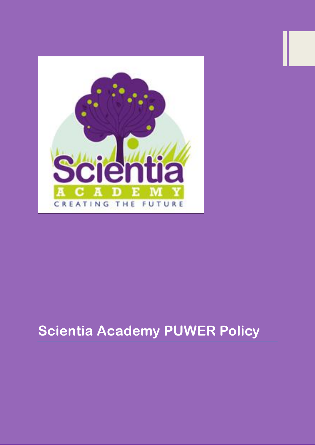

# **Scientia Academy PUWER Policy**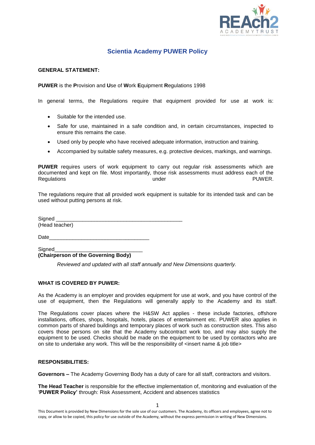

# **Scientia Academy PUWER Policy**

## **GENERAL STATEMENT:**

**PUWER** is the **P**rovision and **U**se of **W**ork **E**quipment **R**egulations 1998

In general terms, the Regulations require that equipment provided for use at work is:

- Suitable for the intended use.
- Safe for use, maintained in a safe condition and, in certain circumstances, inspected to ensure this remains the case.
- Used only by people who have received adequate information, instruction and training.
- Accompanied by suitable safety measures, e.g. protective devices, markings, and warnings.

**PUWER** requires users of work equipment to carry out regular risk assessments which are documented and kept on file. Most importantly, those risk assessments must address each of the Regulations under PUWER.

The regulations require that all provided work equipment is suitable for its intended task and can be used without putting persons at risk.

| Signed         |  |  |
|----------------|--|--|
| (Head teacher) |  |  |
|                |  |  |

Date

Signed

**(Chairperson of the Governing Body)**

*Reviewed and updated with all staff annually and New Dimensions quarterly.*

# **WHAT IS COVERED BY PUWER:**

As the Academy is an employer and provides equipment for use at work, and you have control of the use of equipment, then the Regulations will generally apply to the Academy and its staff.

The Regulations cover places where the H&SW Act applies - these include factories, offshore installations, offices, shops, hospitals, hotels, places of entertainment etc. PUWER also applies in common parts of shared buildings and temporary places of work such as construction sites. This also covers those persons on site that the Academy subcontract work too, and may also supply the equipment to be used. Checks should be made on the equipment to be used by contactors who are on site to undertake any work. This will be the responsibility of  $\epsilon$ insert name & job title>

#### **RESPONSIBILITIES:**

**Governors –** The Academy Governing Body has a duty of care for all staff, contractors and visitors.

**The Head Teacher** is responsible for the effective implementation of, monitoring and evaluation of the '**PUWER Policy'** through: Risk Assessment, Accident and absences statistics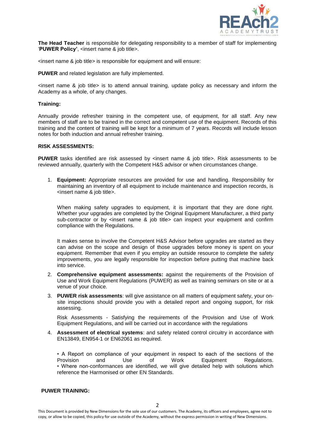

**The Head Teacher** is responsible for delegating responsibility to a member of staff for implementing '**PUWER Policy'**, <insert name & job title>.

<insert name & job title> is responsible for equipment and will ensure:

**PUWER** and related legislation are fully implemented.

 $\epsilon$  insert name & job title is to attend annual training, update policy as necessary and inform the Academy as a whole, of any changes.

#### **Training:**

Annually provide refresher training in the competent use, of equipment, for all staff. Any new members of staff are to be trained in the correct and competent use of the equipment. Records of this training and the content of training will be kept for a minimum of 7 years. Records will include lesson notes for both induction and annual refresher training.

#### **RISK ASSESSMENTS:**

**PUWER** tasks identified are risk assessed by <insert name & job title>. Risk assessments to be reviewed annually, quarterly with the Competent H&S advisor or when circumstances change.

1. **Equipment:** Appropriate resources are provided for use and handling. Responsibility for maintaining an inventory of all equipment to include maintenance and inspection records, is <insert name & job title>.

When making safety upgrades to equipment, it is important that they are done right. Whether your upgrades are completed by the Original Equipment Manufacturer, a third party sub-contractor or by  $\leq$ insert name & job title $>$  can inspect your equipment and confirm compliance with the Regulations.

It makes sense to involve the Competent H&S Advisor before upgrades are started as they can advise on the scope and design of those upgrades before money is spent on your equipment. Remember that even if you employ an outside resource to complete the safety improvements, you are legally responsible for inspection before putting that machine back into service.

- 2. **Comprehensive equipment assessments:** against the requirements of the Provision of Use and Work Equipment Regulations (PUWER) as well as training seminars on site or at a venue of your choice.
- 3. **PUWER risk assessments**: will give assistance on all matters of equipment safety, your onsite inspections should provide you with a detailed report and ongoing support, for risk assessing.

Risk Assessments - Satisfying the requirements of the Provision and Use of Work Equipment Regulations, and will be carried out in accordance with the regulations

4. **Assessment of electrical systems**: and safety related control circuitry in accordance with EN13849, EN954-1 or EN62061 as required.

• A Report on compliance of your equipment in respect to each of the sections of the Provision and Use of Work Equipment Regulations. • Where non-conformances are identified, we will give detailed help with solutions which reference the Harmonised or other EN Standards.

## **PUWER TRAINING:**